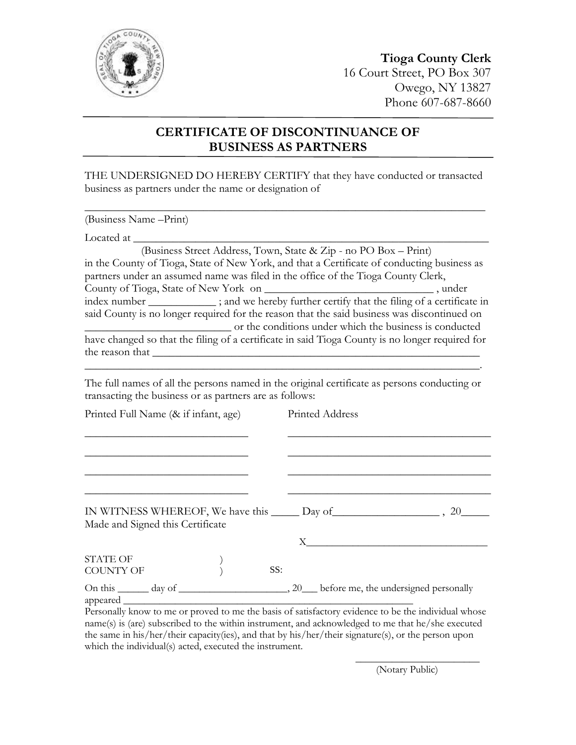

## **Tioga County Clerk** 16 Court Street, PO Box 307 Owego, NY 13827 Phone 607-687-8660

## **CERTIFICATE OF DISCONTINUANCE OF BUSINESS AS PARTNERS**

THE UNDERSIGNED DO HEREBY CERTIFY that they have conducted or transacted business as partners under the name or designation of

 $\_$  , and the set of the set of the set of the set of the set of the set of the set of the set of the set of the set of the set of the set of the set of the set of the set of the set of the set of the set of the set of th

(Business Name –Print)

Located at

 (Business Street Address, Town, State & Zip - no PO Box – Print) in the County of Tioga, State of New York, and that a Certificate of conducting business as partners under an assumed name was filed in the office of the Tioga County Clerk, County of Tioga, State of New York on \_\_\_\_\_\_\_\_\_\_\_\_\_\_\_\_\_\_\_\_\_\_\_\_\_\_\_\_\_\_ , under index number  $\frac{1}{\sqrt{1-\frac{1}{\sqrt{1-\frac{1}{\sqrt{1-\frac{1}{\sqrt{1-\frac{1}{\sqrt{1-\frac{1}{\sqrt{1-\frac{1}{\sqrt{1-\frac{1}{\sqrt{1-\frac{1}{\sqrt{1-\frac{1}{\sqrt{1-\frac{1}{\sqrt{1-\frac{1}{\sqrt{1-\frac{1}{\sqrt{1-\frac{1}{\sqrt{1-\frac{1}{\sqrt{1-\frac{1}{\sqrt{1-\frac{1}{\sqrt{1-\frac{1}{\sqrt{1-\frac{1}{\sqrt{1-\frac{1}{\sqrt{1-\frac{1}{\sqrt{1-\frac{1}{\sqrt{1-\frac{1}{\sqrt{1-\$ said County is no longer required for the reason that the said business was discontinued on \_\_\_\_\_\_\_\_\_\_\_\_\_\_\_\_\_\_\_\_\_\_\_\_\_\_ or the conditions under which the business is conducted have changed so that the filing of a certificate in said Tioga County is no longer required for the reason that

The full names of all the persons named in the original certificate as persons conducting or transacting the business or as partners are as follows:

 $\overline{\phantom{a}}$  , and the contract of the contract of the contract of the contract of the contract of the contract of the contract of the contract of the contract of the contract of the contract of the contract of the contrac

| Printed Full Name (& if infant, age) | Printed Address                                                                                                                                                                                                                |
|--------------------------------------|--------------------------------------------------------------------------------------------------------------------------------------------------------------------------------------------------------------------------------|
|                                      |                                                                                                                                                                                                                                |
|                                      |                                                                                                                                                                                                                                |
|                                      |                                                                                                                                                                                                                                |
|                                      |                                                                                                                                                                                                                                |
| Made and Signed this Certificate     |                                                                                                                                                                                                                                |
|                                      | $X \sim$                                                                                                                                                                                                                       |
| <b>STATE OF</b>                      |                                                                                                                                                                                                                                |
| <b>COUNTY OF</b>                     | SS:                                                                                                                                                                                                                            |
|                                      | المنافذ والمنافذة المتواطن والمنافذة والمنافذة والمنافذة المتناقص والمنافذة المتناور والمتناور والمتناور والمتناور والمتناور والمتناور والمتناور والمتناور والمتناور والمتناور والمتناور والمتناور والمتناور والمتناور والمتنا |

Personally know to me or proved to me the basis of satisfactory evidence to be the individual whose name(s) is (are) subscribed to the within instrument, and acknowledged to me that he/she executed the same in his/her/their capacity(ies), and that by his/her/their signature(s), or the person upon which the individual(s) acted, executed the instrument.

(Notary Public)

\_\_\_\_\_\_\_\_\_\_\_\_\_\_\_\_\_\_\_\_\_\_\_\_